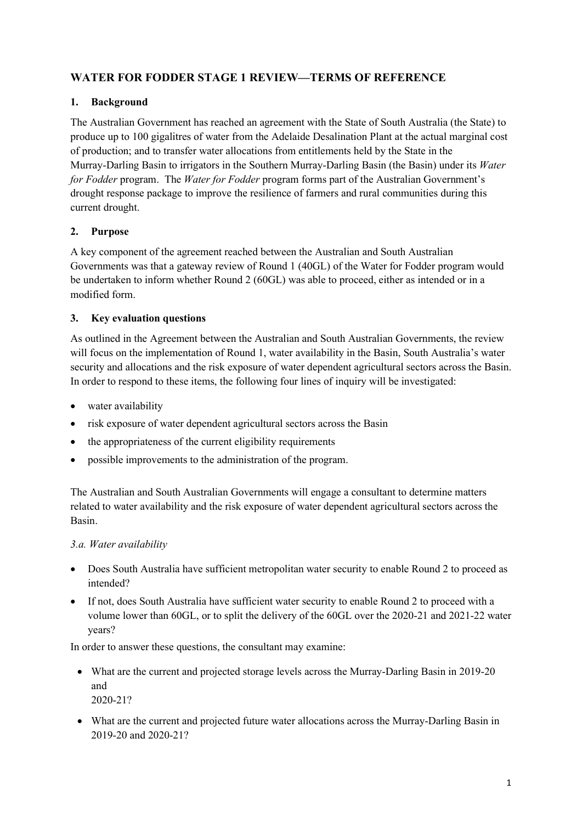## WATER FOR FODDER STAGE 1 REVIEW—TERMS OF REFERENCE

## 1. Background

The Australian Government has reached an agreement with the State of South Australia (the State) to produce up to 100 gigalitres of water from the Adelaide Desalination Plant at the actual marginal cost of production; and to transfer water allocations from entitlements held by the State in the Murray-Darling Basin to irrigators in the Southern Murray-Darling Basin (the Basin) under its Water for Fodder program. The Water for Fodder program forms part of the Australian Government's drought response package to improve the resilience of farmers and rural communities during this current drought.

## 2. Purpose

A key component of the agreement reached between the Australian and South Australian Governments was that a gateway review of Round 1 (40GL) of the Water for Fodder program would be undertaken to inform whether Round 2 (60GL) was able to proceed, either as intended or in a modified form.

## 3. Key evaluation questions

As outlined in the Agreement between the Australian and South Australian Governments, the review will focus on the implementation of Round 1, water availability in the Basin, South Australia's water security and allocations and the risk exposure of water dependent agricultural sectors across the Basin. In order to respond to these items, the following four lines of inquiry will be investigated:

- water availability
- risk exposure of water dependent agricultural sectors across the Basin
- the appropriateness of the current eligibility requirements
- possible improvements to the administration of the program.

The Australian and South Australian Governments will engage a consultant to determine matters related to water availability and the risk exposure of water dependent agricultural sectors across the Basin.

#### 3.a. Water availability

- Does South Australia have sufficient metropolitan water security to enable Round 2 to proceed as intended?
- If not, does South Australia have sufficient water security to enable Round 2 to proceed with a volume lower than 60GL, or to split the delivery of the 60GL over the 2020-21 and 2021-22 water years?

In order to answer these questions, the consultant may examine:

- What are the current and projected storage levels across the Murray-Darling Basin in 2019-20 and 2020-21?
- What are the current and projected future water allocations across the Murray-Darling Basin in 2019-20 and 2020-21?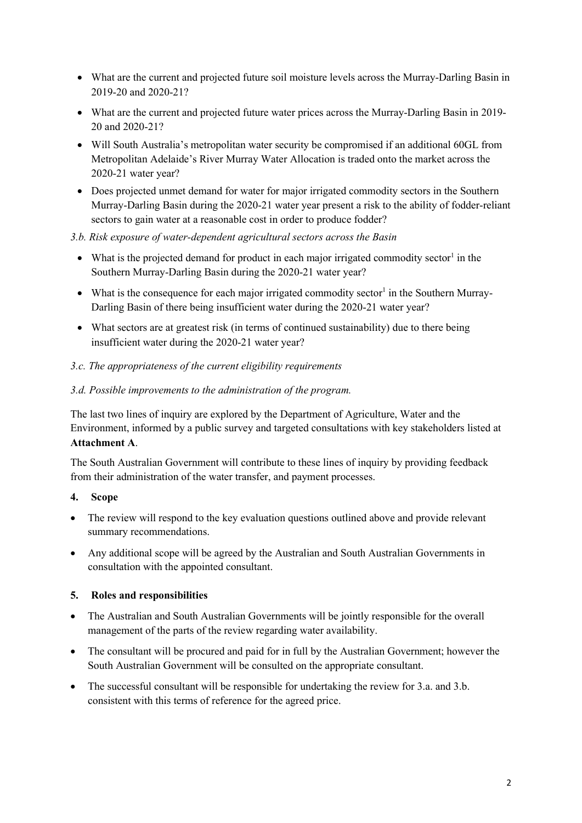- What are the current and projected future soil moisture levels across the Murray-Darling Basin in 2019-20 and 2020-21?
- What are the current and projected future water prices across the Murray-Darling Basin in 2019- 20 and 2020-21?
- Will South Australia's metropolitan water security be compromised if an additional 60GL from Metropolitan Adelaide's River Murray Water Allocation is traded onto the market across the 2020-21 water year?
- Does projected unmet demand for water for major irrigated commodity sectors in the Southern Murray-Darling Basin during the 2020-21 water year present a risk to the ability of fodder-reliant sectors to gain water at a reasonable cost in order to produce fodder?
- 3.b. Risk exposure of water-dependent agricultural sectors across the Basin
	- What is the projected demand for product in each major irrigated commodity sector<sup>1</sup> in the Southern Murray-Darling Basin during the 2020-21 water year?
	- What is the consequence for each major irrigated commodity sector<sup>1</sup> in the Southern Murray-Darling Basin of there being insufficient water during the 2020-21 water year?
	- What sectors are at greatest risk (in terms of continued sustainability) due to there being insufficient water during the 2020-21 water year?

#### 3.c. The appropriateness of the current eligibility requirements

#### 3.d. Possible improvements to the administration of the program.

The last two lines of inquiry are explored by the Department of Agriculture, Water and the Environment, informed by a public survey and targeted consultations with key stakeholders listed at Attachment A.

The South Australian Government will contribute to these lines of inquiry by providing feedback from their administration of the water transfer, and payment processes.

- 4. Scope
- The review will respond to the key evaluation questions outlined above and provide relevant summary recommendations.
- Any additional scope will be agreed by the Australian and South Australian Governments in consultation with the appointed consultant.

#### 5. Roles and responsibilities

- The Australian and South Australian Governments will be jointly responsible for the overall management of the parts of the review regarding water availability.
- The consultant will be procured and paid for in full by the Australian Government; however the South Australian Government will be consulted on the appropriate consultant.
- The successful consultant will be responsible for undertaking the review for 3.a. and 3.b. consistent with this terms of reference for the agreed price.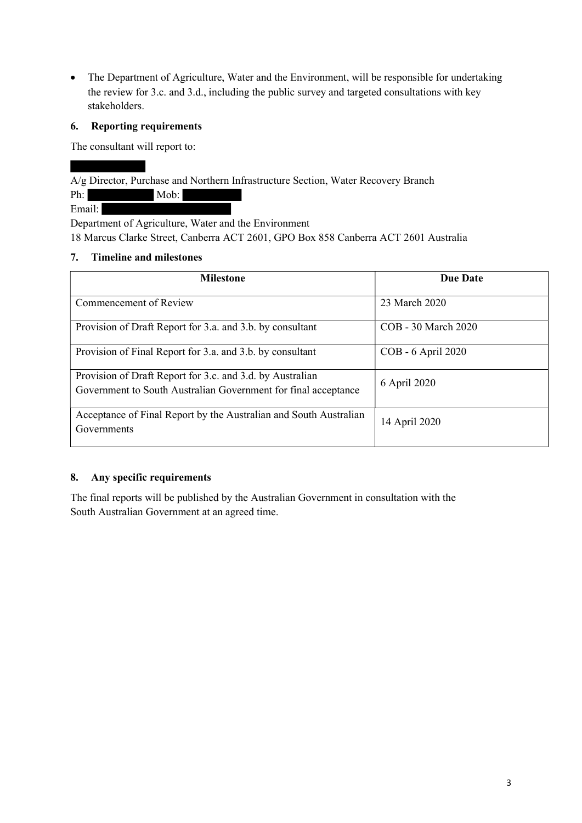• The Department of Agriculture, Water and the Environment, will be responsible for undertaking the review for 3.c. and 3.d., including the public survey and targeted consultations with key stakeholders.

## 6. Reporting requirements

The consultant will report to:

A/g Director, Purchase and Northern Infrastructure Section, Water Recovery Branch

| 71 | Mob: |  |
|----|------|--|
|    |      |  |

Email:

Department of Agriculture, Water and the Environment 18 Marcus Clarke Street, Canberra ACT 2601, GPO Box 858 Canberra ACT 2601 Australia

## 7. Timeline and milestones

| <b>Milestone</b>                                                                                                            | <b>Due Date</b>     |  |
|-----------------------------------------------------------------------------------------------------------------------------|---------------------|--|
| Commencement of Review                                                                                                      | 23 March 2020       |  |
| Provision of Draft Report for 3.a. and 3.b. by consultant                                                                   | COB - 30 March 2020 |  |
| Provision of Final Report for 3.a. and 3.b. by consultant                                                                   | COB - 6 April 2020  |  |
| Provision of Draft Report for 3.c. and 3.d. by Australian<br>Government to South Australian Government for final acceptance | 6 April 2020        |  |
| Acceptance of Final Report by the Australian and South Australian<br>Governments                                            | 14 April 2020       |  |

## 8. Any specific requirements

The final reports will be published by the Australian Government in consultation with the South Australian Government at an agreed time.